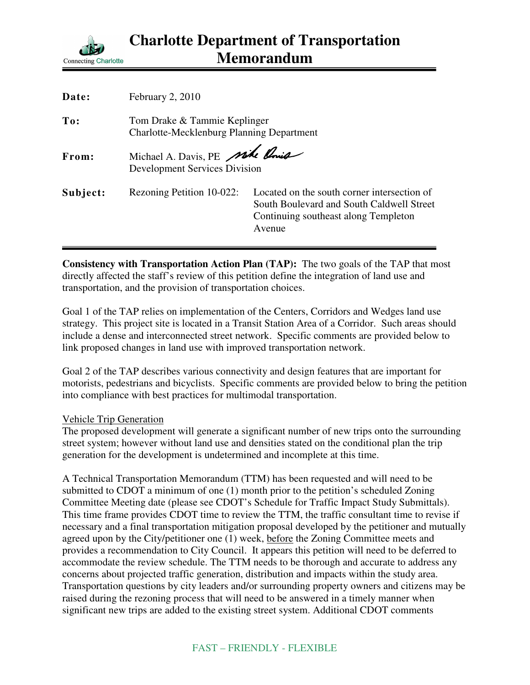

| Date:    | February 2, 2010                                                                 |                                                                                                                                            |
|----------|----------------------------------------------------------------------------------|--------------------------------------------------------------------------------------------------------------------------------------------|
| To:      | Tom Drake & Tammie Keplinger<br><b>Charlotte-Mecklenburg Planning Department</b> |                                                                                                                                            |
| From:    | Michael A. Davis, PE mile Ania<br><b>Development Services Division</b>           |                                                                                                                                            |
| Subject: | Rezoning Petition 10-022:                                                        | Located on the south corner intersection of<br>South Boulevard and South Caldwell Street<br>Continuing southeast along Templeton<br>Avenue |

**Consistency with Transportation Action Plan (TAP):** The two goals of the TAP that most directly affected the staff's review of this petition define the integration of land use and transportation, and the provision of transportation choices.

Goal 1 of the TAP relies on implementation of the Centers, Corridors and Wedges land use strategy. This project site is located in a Transit Station Area of a Corridor. Such areas should include a dense and interconnected street network. Specific comments are provided below to link proposed changes in land use with improved transportation network.

Goal 2 of the TAP describes various connectivity and design features that are important for motorists, pedestrians and bicyclists. Specific comments are provided below to bring the petition into compliance with best practices for multimodal transportation.

## Vehicle Trip Generation

The proposed development will generate a significant number of new trips onto the surrounding street system; however without land use and densities stated on the conditional plan the trip generation for the development is undetermined and incomplete at this time.

A Technical Transportation Memorandum (TTM) has been requested and will need to be submitted to CDOT a minimum of one (1) month prior to the petition's scheduled Zoning Committee Meeting date (please see CDOT's Schedule for Traffic Impact Study Submittals). This time frame provides CDOT time to review the TTM, the traffic consultant time to revise if necessary and a final transportation mitigation proposal developed by the petitioner and mutually agreed upon by the City/petitioner one (1) week, before the Zoning Committee meets and provides a recommendation to City Council. It appears this petition will need to be deferred to accommodate the review schedule. The TTM needs to be thorough and accurate to address any concerns about projected traffic generation, distribution and impacts within the study area. Transportation questions by city leaders and/or surrounding property owners and citizens may be raised during the rezoning process that will need to be answered in a timely manner when significant new trips are added to the existing street system. Additional CDOT comments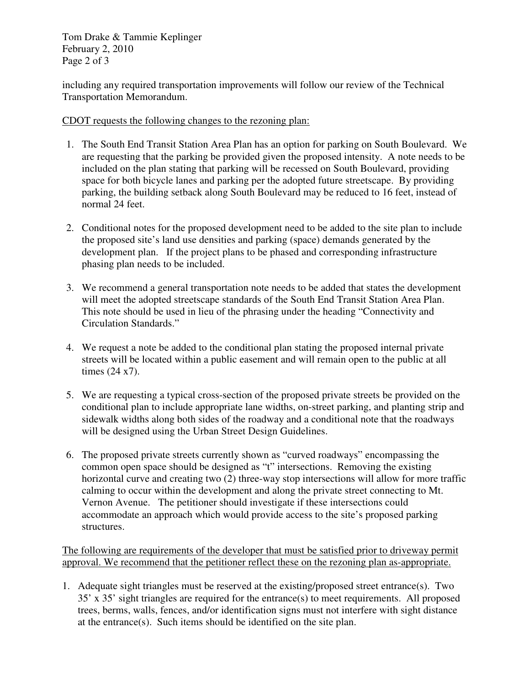Tom Drake & Tammie Keplinger February 2, 2010 Page 2 of 3

including any required transportation improvements will follow our review of the Technical Transportation Memorandum.

CDOT requests the following changes to the rezoning plan:

- 1. The South End Transit Station Area Plan has an option for parking on South Boulevard. We are requesting that the parking be provided given the proposed intensity. A note needs to be included on the plan stating that parking will be recessed on South Boulevard, providing space for both bicycle lanes and parking per the adopted future streetscape. By providing parking, the building setback along South Boulevard may be reduced to 16 feet, instead of normal 24 feet.
- 2. Conditional notes for the proposed development need to be added to the site plan to include the proposed site's land use densities and parking (space) demands generated by the development plan. If the project plans to be phased and corresponding infrastructure phasing plan needs to be included.
- 3. We recommend a general transportation note needs to be added that states the development will meet the adopted streetscape standards of the South End Transit Station Area Plan. This note should be used in lieu of the phrasing under the heading "Connectivity and Circulation Standards."
- 4. We request a note be added to the conditional plan stating the proposed internal private streets will be located within a public easement and will remain open to the public at all times (24 x7).
- 5. We are requesting a typical cross-section of the proposed private streets be provided on the conditional plan to include appropriate lane widths, on-street parking, and planting strip and sidewalk widths along both sides of the roadway and a conditional note that the roadways will be designed using the Urban Street Design Guidelines.
- 6. The proposed private streets currently shown as "curved roadways" encompassing the common open space should be designed as "t" intersections. Removing the existing horizontal curve and creating two (2) three-way stop intersections will allow for more traffic calming to occur within the development and along the private street connecting to Mt. Vernon Avenue. The petitioner should investigate if these intersections could accommodate an approach which would provide access to the site's proposed parking structures.

The following are requirements of the developer that must be satisfied prior to driveway permit approval. We recommend that the petitioner reflect these on the rezoning plan as-appropriate.

1. Adequate sight triangles must be reserved at the existing/proposed street entrance(s). Two 35' x 35' sight triangles are required for the entrance(s) to meet requirements. All proposed trees, berms, walls, fences, and/or identification signs must not interfere with sight distance at the entrance(s). Such items should be identified on the site plan.